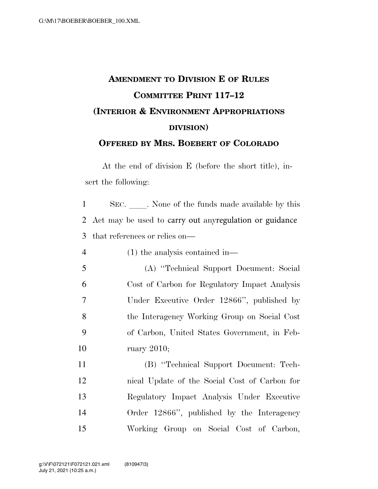## **AMENDMENT TO DIVISION E OF RULES COMMITTEE PRINT 117–12 (INTERIOR & ENVIRONMENT APPROPRIATIONS DIVISION) OFFERED BY MRS. BOEBERT OF COLORADO**

At the end of division E (before the short title), insert the following:

1 SEC. None of the funds made available by this 2 Act may be used to carry out anyregulation or guidance 3 that references or relies on—

4 (1) the analysis contained in—

 (A) ''Technical Support Document: Social Cost of Carbon for Regulatory Impact Analysis Under Executive Order 12866'', published by the Interagency Working Group on Social Cost of Carbon, United States Government, in Feb-ruary 2010;

 (B) ''Technical Support Document: Tech- nical Update of the Social Cost of Carbon for Regulatory Impact Analysis Under Executive Order 12866'', published by the Interagency Working Group on Social Cost of Carbon,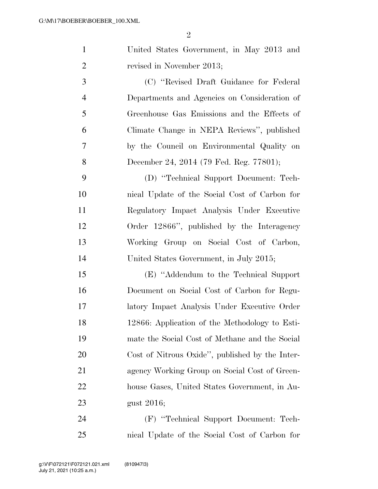| $\mathbf{1}$   | United States Government, in May 2013 and       |
|----------------|-------------------------------------------------|
| $\overline{2}$ | revised in November 2013;                       |
| 3              | (C) "Revised Draft Guidance for Federal         |
| $\overline{4}$ | Departments and Agencies on Consideration of    |
| 5              | Greenhouse Gas Emissions and the Effects of     |
| 6              | Climate Change in NEPA Reviews", published      |
| 7              | by the Council on Environmental Quality on      |
| 8              | December 24, 2014 (79 Fed. Reg. 77801);         |
| 9              | (D) "Technical Support Document: Tech-          |
| 10             | nical Update of the Social Cost of Carbon for   |
| 11             | Regulatory Impact Analysis Under Executive      |
| 12             | Order 12866", published by the Interagency      |
| 13             | Working Group on Social Cost of Carbon,         |
| 14             | United States Government, in July 2015;         |
| 15             | (E) "Addendum to the Technical Support"         |
| 16             | Document on Social Cost of Carbon for Regu-     |
| 17             | latory Impact Analysis Under Executive Order    |
| 18             | 12866: Application of the Methodology to Esti-  |
| 19             | mate the Social Cost of Methane and the Social  |
| 20             | Cost of Nitrous Oxide", published by the Inter- |
| 21             | agency Working Group on Social Cost of Green-   |
| 22             | house Gases, United States Government, in Au-   |
| 23             | gust 2016;                                      |
| 24             | (F) "Technical Support Document: Tech-          |
| 25             | nical Update of the Social Cost of Carbon for   |